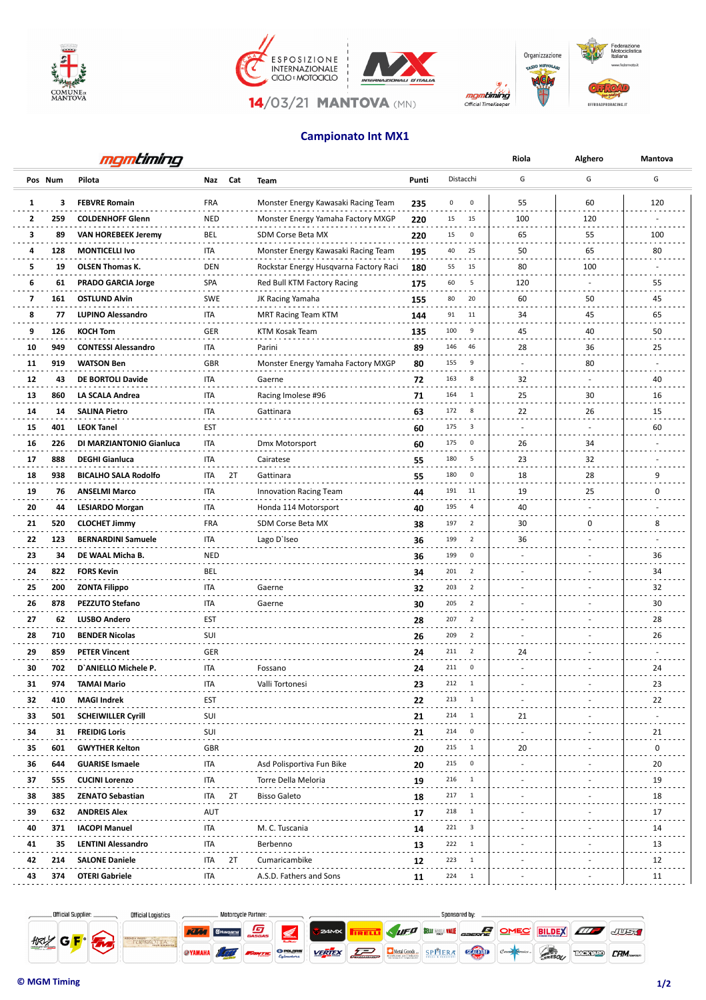







Organizzazione



## **Campionato Int MX1**

|    | mgmtiming  |                             |            |     |                                        |       |                                 | Riola    | Alghero      | Mantova        |
|----|------------|-----------------------------|------------|-----|----------------------------------------|-------|---------------------------------|----------|--------------|----------------|
|    | Pos Num    | Pilota                      | Naz        | Cat | Team                                   | Punti | Distacchi                       | G        | G            | G              |
| 1  | 3          | <b>FEBVRE Romain</b>        | <b>FRA</b> |     | Monster Energy Kawasaki Racing Team    | 235   | 0<br>0                          | 55       | 60           | 120            |
| 2  | 259        | <b>COLDENHOFF Glenn</b>     | <b>NED</b> |     | Monster Energy Yamaha Factory MXGP     | 220   | 15<br>15                        | 100      | 120          |                |
| з  | 89         | <b>VAN HOREBEEK Jeremy</b>  | BEL        |     | SDM Corse Beta MX                      | 220   | 15<br>$\mathbf 0$               | 65       | 55           | 100            |
| 4  | 128        | <b>MONTICELLI Ivo</b>       | ITA        |     | Monster Energy Kawasaki Racing Team    | 195   | 40<br>25                        | 50       | 65           | 80             |
| 5  | 19         | <b>OLSEN Thomas K.</b>      | <b>DEN</b> |     | Rockstar Energy Husqvarna Factory Raci | 180   | 55<br>15                        | 80       | 100          |                |
| 6  | 61         | <b>PRADO GARCIA Jorge</b>   | SPA        |     | Red Bull KTM Factory Racing            | 175   | 60<br>5                         | 120      | ÷.           | 55             |
| 7  | 161        | <b>OSTLUND Alvin</b>        | <b>SWE</b> |     | JK Racing Yamaha                       | 155   | 80<br>20                        | 60       | $\sim$<br>50 | 45             |
| 8  | 77         | LUPINO Alessandro           | ITA        |     | MRT Racing Team KTM                    | 144   | 11<br>91                        | 34       | 45           | 65             |
| 9  | 126        | <b>KOCH Tom</b>             | GER        |     | KTM Kosak Team                         | 135   | 100<br>9                        | 45       | 40           | 50             |
| 10 | 949        | <b>CONTESSI Alessandro</b>  | <b>ITA</b> |     | Parini                                 | 89    | 146<br>46                       | 28       | 36           | 25             |
| 11 | 919        | <b>WATSON Ben</b>           | GBR        |     | Monster Energy Yamaha Factory MXGP     | 80    | 155<br>9                        | ٠        | 80           |                |
| 12 | 43         | DE BORTOLI Davide           | ITA        |     | Gaerne                                 | 72    | 163<br>8                        | ÷.<br>32 | ٠            | 40             |
| 13 | 860        | LA SCALA Andrea             | <b>ITA</b> |     | Racing Imolese #96                     | 71    | 164<br>$\mathbf{1}$             | 25       | 30           | 16             |
| 14 | 14         | <b>SALINA Pietro</b>        | <b>ITA</b> |     | Gattinara                              | 63    | 172<br>8                        | 22       | 26           | 15             |
| 15 | 401        | <b>LEOK Tanel</b>           | EST        |     |                                        | 60    | 175<br>3                        |          |              | 60             |
| 16 | 226        | DI MARZIANTONIO Gianluca    | ITA        |     | Dmx Motorsport                         | 60    | 175<br>0                        | 26       | 34           |                |
| 17 | 888        | <b>DEGHI Gianluca</b>       | ITA        |     | Cairatese                              | 55    | 180<br>5                        | 23       | 32           |                |
| 18 | 938        | <b>BICALHO SALA Rodolfo</b> | <b>ITA</b> | 2T  | Gattinara                              | 55    | 180<br>0                        | 18       | 28           | 9              |
| 19 | 76         | <b>ANSELMI Marco</b>        | <b>ITA</b> |     | <b>Innovation Racing Team</b>          | 44    | 191<br>11                       | 19       | 25           | 0              |
| 20 | 44         | <b>LESIARDO Morgan</b>      | ITA        |     | Honda 114 Motorsport                   | 40    | 195<br>$\overline{4}$           | 40       | ٠            |                |
| 21 | 520        | <b>CLOCHET Jimmy</b>        | <b>FRA</b> |     | SDM Corse Beta MX                      | 38    | 197<br>$\overline{2}$           | 30       | 0            | 8              |
| 22 | 123        | <b>BERNARDINI Samuele</b>   | ITA        |     | Lago D'Iseo                            | 36    | 199<br>$\overline{2}$           | 36       |              |                |
| 23 | 34         | DE WAAL Micha B.            | <b>NED</b> |     |                                        | 36    | $ -$<br>$\mathbf 0$<br>199      |          |              | 36             |
| 24 | 822        | <b>FORS Kevin</b>           | BEL        |     |                                        | 34    | 201<br>$\overline{2}$           |          |              | 34             |
| 25 | 200        | <b>ZONTA Filippo</b>        | ITA        |     | Gaerne                                 | 32    | $\overline{2}$<br>203           |          |              | 32             |
| 26 | 878        | PEZZUTO Stefano             | <b>ITA</b> |     | Gaerne                                 | 30    | 205<br>$\overline{2}$           |          |              | 30             |
| 27 | 62         | <b>LUSBO Andero</b>         | EST        |     |                                        | 28    | 207<br>$\overline{2}$           |          |              | 28             |
| 28 | 710        | <b>BENDER Nicolas</b>       | SUI        |     |                                        | 26    | 209<br>$\overline{2}$           |          |              | 26             |
| 29 | 859        | <b>PETER Vincent</b>        | GER        |     |                                        | 24    | 211<br>$\overline{2}$           | 24       |              |                |
| 30 | 702        | D'ANIELLO Michele P.        | <b>ITA</b> |     | Fossano                                | 24    | 211<br>0                        |          |              | 24             |
| 31 |            |                             |            |     |                                        |       |                                 |          |              | 23             |
| 32 | 974<br>410 | IAMAI Mario<br>MAGI Indrek  | ПA<br>EST  |     | Valli Tortonesi                        | 22    | 213<br>$\overline{\phantom{0}}$ |          |              | 22             |
| 33 | 501        | <b>SCHEIWILLER Cyrill</b>   | SUI        |     |                                        |       | 214<br>1                        | 21       |              |                |
| 34 | 31         | <b>FREIDIG Loris</b>        | SUI        |     |                                        | 21    | 214<br>0                        |          |              | 21             |
|    |            |                             | <b>GBR</b> |     |                                        | 21    | 215<br>1                        | 20       |              | 0              |
| 35 | 601        | <b>GWYTHER Kelton</b>       | ITA        |     |                                        | 20    | 215<br>0                        |          |              | 20             |
| 36 | 644        | <b>GUARISE Ismaele</b>      |            |     | Asd Polisportiva Fun Bike              | 20    | 216<br>1                        |          |              | 19             |
| 37 | 555        | <b>CUCINI Lorenzo</b>       | ITA        |     | Torre Della Meloria                    | 19    | 217<br>-1                       |          |              | 18             |
| 38 | 385        | <b>ZENATO Sebastian</b>     | ITA        | 2T  | <b>Bisso Galeto</b>                    | 18    | 218<br>$\overline{1}$           |          |              |                |
| 39 | 632        | <b>ANDREIS Alex</b>         | <b>AUT</b> |     |                                        | 17    |                                 |          |              | 17             |
| 40 | 371        | <b>IACOPI Manuel</b>        | ITA        |     | M. C. Tuscania                         | 14    | 221<br>$_{3}$                   |          |              | 14             |
| 41 | 35         | <b>LENTINI Alessandro</b>   | ITA        |     | Berbenno                               | 13    | 222<br>-1                       |          |              | 13             |
| 42 | 214        | <b>SALONE Daniele</b>       | ITA        | 2T  | Cumaricambike                          | 12    | 223                             |          |              | 12<br>$\cdots$ |
| 43 | 374        | <b>OTERI Gabriele</b>       | ITA        |     | A.S.D. Fathers and Sons                | 11    | 224<br>-1                       |          |              | 11             |